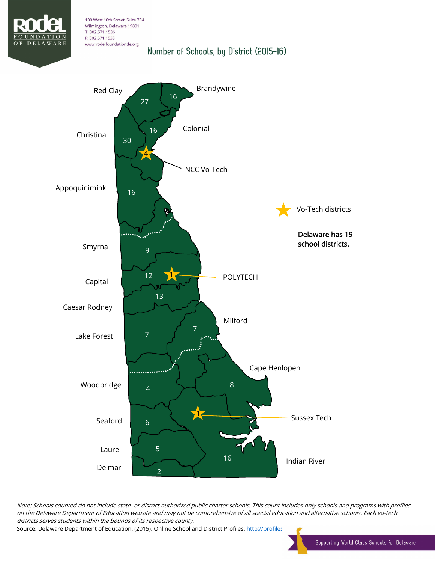

## 100 West 10th Street, Suite 704 Wilmington, Delaware 19801 T: 302.571.1536 F: 302.571.1538 www rodelfoundationde.org Number of Schools, by District (2015-16)



 Note: Schools counted do not include state- or district-authorized public charter schools. This count includes only schools and programs with profiles on the Delaware Department of Education website and may not be comprehensive of all special education and alternative schools. Each vo-tech districts serves students within the bounds of its respective county.

districts serves students within the bounds on its respective county.<br>Source: Delaware Department of Education. (2015). Online School and District Profiles. <u>http://profiles</u>